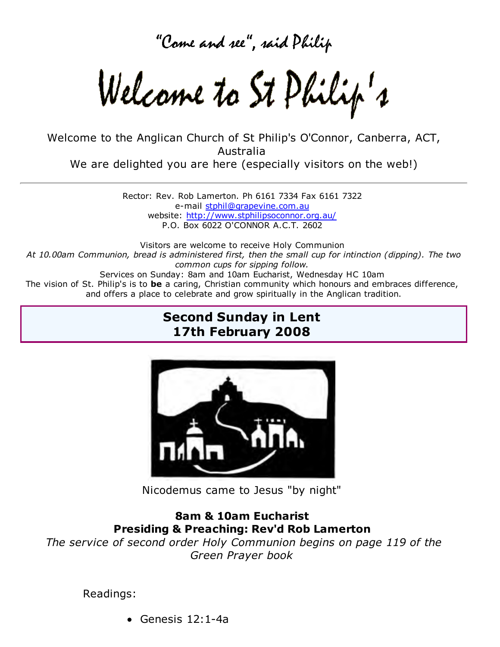Come and see", said Philip

Welcame to St Philip's

Welcome to the Anglican Church of St Philip's O'Connor, Canberra, ACT, Australia We are delighted you are here (especially visitors on the web!)

> Rector: Rev. Rob Lamerton. Ph 6161 7334 Fax 6161 7322 e-mail stphil@grapevine.com.au website: http://www.stphilipsoconnor.org.au/ P.O. Box 6022 O'CONNOR A.C.T. 2602

Visitors are welcome to receive Holy Communion *At 10.00am Communion, bread is administered first, then the small cup for intinction (dipping). The two common cups for sipping follow.* Services on Sunday: 8am and 10am Eucharist, Wednesday HC 10am The vision of St. Philip's is to **be** a caring, Christian community which honours and embraces difference, and offers a place to celebrate and grow spiritually in the Anglican tradition.

## **Second Sunday in Lent 17th February 2008**



Nicodemus came to Jesus "by night"

### **8am & 10am Eucharist Presiding & Preaching: Rev'd Rob Lamerton**

*The service of second order Holy Communion begins on page 119 of the Green Prayer book*

### Readings:

Genesis 12:1-4a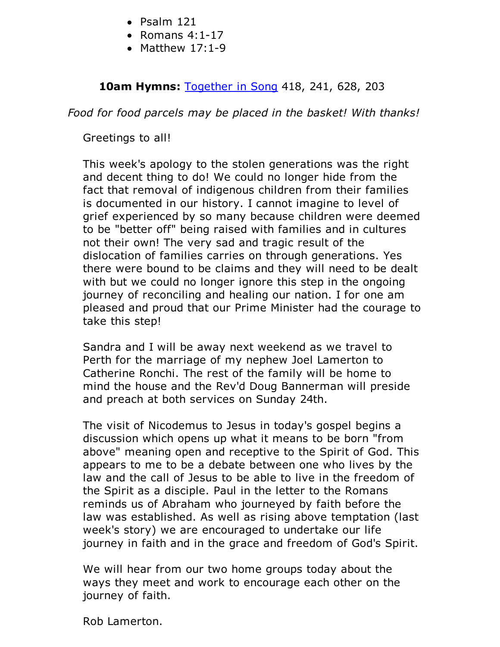- $\bullet$  Psalm 121
- $\bullet$  Romans 4:1-17
- $\bullet$  Matthew 17:1-9

**10am Hymns:** Together in Song 418, 241, 628, 203

*Food for food parcels may be placed in the basket! With thanks!*

Greetings to all!

This week's apology to the stolen generations was the right and decent thing to do! We could no longer hide from the fact that removal of indigenous children from their families is documented in our history. I cannot imagine to level of grief experienced by so many because children were deemed to be "better off" being raised with families and in cultures not their own! The very sad and tragic result of the dislocation of families carries on through generations. Yes there were bound to be claims and they will need to be dealt with but we could no longer ignore this step in the ongoing journey of reconciling and healing our nation. I for one am pleased and proud that our Prime Minister had the courage to take this step!

Sandra and I will be away next weekend as we travel to Perth for the marriage of my nephew Joel Lamerton to Catherine Ronchi. The rest of the family will be home to mind the house and the Rev'd Doug Bannerman will preside and preach at both services on Sunday 24th.

The visit of Nicodemus to Jesus in today's gospel begins a discussion which opens up what it means to be born "from above" meaning open and receptive to the Spirit of God. This appears to me to be a debate between one who lives by the law and the call of Jesus to be able to live in the freedom of the Spirit as a disciple. Paul in the letter to the Romans reminds us of Abraham who journeyed by faith before the law was established. As well as rising above temptation (last week's story) we are encouraged to undertake our life journey in faith and in the grace and freedom of God's Spirit.

We will hear from our two home groups today about the ways they meet and work to encourage each other on the journey of faith.

Rob Lamerton.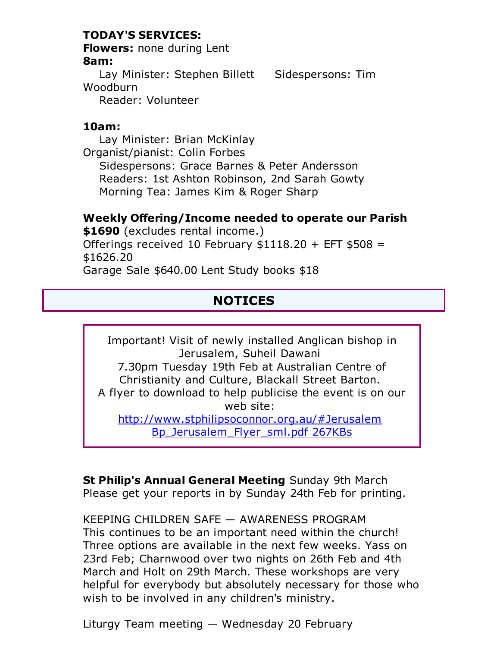### **TODAY'S SERVICES:**

**Flowers:** none during Lent **8am:**

Lay Minister: Stephen Billett Sidespersons: Tim Woodburn Reader: Volunteer

#### **10am:**

 Lay Minister: Brian McKinlay Organist/pianist: Colin Forbes Sidespersons: Grace Barnes & Peter Andersson Readers: 1st Ashton Robinson, 2nd Sarah Gowty Morning Tea: James Kim & Roger Sharp

#### **Weekly Offering/Income needed to operate our Parish**

**\$1690** (excludes rental income.) Offerings received 10 February  $$1118.20 + EFT $508 =$ \$1626.20 Garage Sale \$640.00 Lent Study books \$18

# **NOTICES**

Important! Visit of newly installed Anglican bishop in Jerusalem, Suheil Dawani 7.30pm Tuesday 19th Feb at Australian Centre of Christianity and Culture, Blackall Street Barton. A flyer to download to help publicise the event is on our web site: http://www.stphilipsoconnor.org.au/#Jerusalem Bp\_Jerusalem\_Flyer\_sml.pdf 267KBs

**St Philip's Annual General Meeting** Sunday 9th March Please get your reports in by Sunday 24th Feb for printing.

KEEPING CHILDREN SAFE — AWARENESS PROGRAM This continues to be an important need within the church! Three options are available in the next few weeks. Yass on 23rd Feb; Charnwood over two nights on 26th Feb and 4th March and Holt on 29th March. These workshops are very helpful for everybody but absolutely necessary for those who wish to be involved in any children's ministry.

Liturgy Team meeting — Wednesday 20 February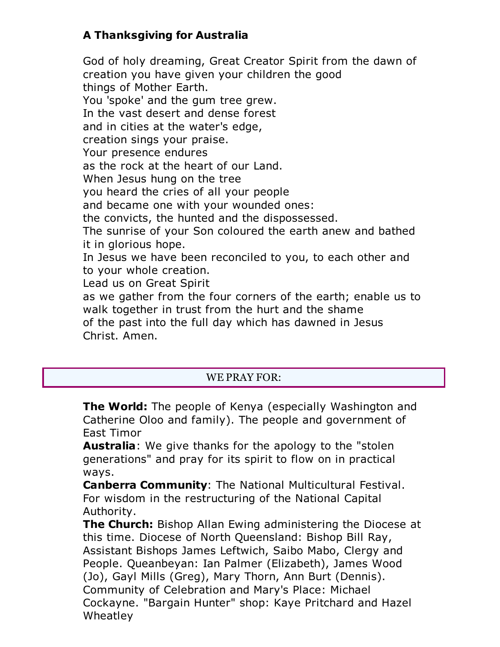## **A Thanksgiving for Australia**

God of holy dreaming, Great Creator Spirit from the dawn of creation you have given your children the good things of Mother Earth. You 'spoke' and the gum tree grew. In the vast desert and dense forest and in cities at the water's edge, creation sings your praise. Your presence endures as the rock at the heart of our Land. When Jesus hung on the tree you heard the cries of all your people and became one with your wounded ones: the convicts, the hunted and the dispossessed. The sunrise of your Son coloured the earth anew and bathed it in glorious hope. In Jesus we have been reconciled to you, to each other and to your whole creation. Lead us on Great Spirit as we gather from the four corners of the earth; enable us to walk together in trust from the hurt and the shame of the past into the full day which has dawned in Jesus Christ. Amen.

### WE PRAY FOR:

**The World:** The people of Kenya (especially Washington and Catherine Oloo and family). The people and government of East Timor

**Australia**: We give thanks for the apology to the "stolen generations" and pray for its spirit to flow on in practical ways.

**Canberra Community**: The National Multicultural Festival. For wisdom in the restructuring of the National Capital Authority.

**The Church:** Bishop Allan Ewing administering the Diocese at this time. Diocese of North Queensland: Bishop Bill Ray, Assistant Bishops James Leftwich, Saibo Mabo, Clergy and People. Queanbeyan: Ian Palmer (Elizabeth), James Wood (Jo), Gayl Mills (Greg), Mary Thorn, Ann Burt (Dennis). Community of Celebration and Mary's Place: Michael Cockayne. "Bargain Hunter" shop: Kaye Pritchard and Hazel Wheatley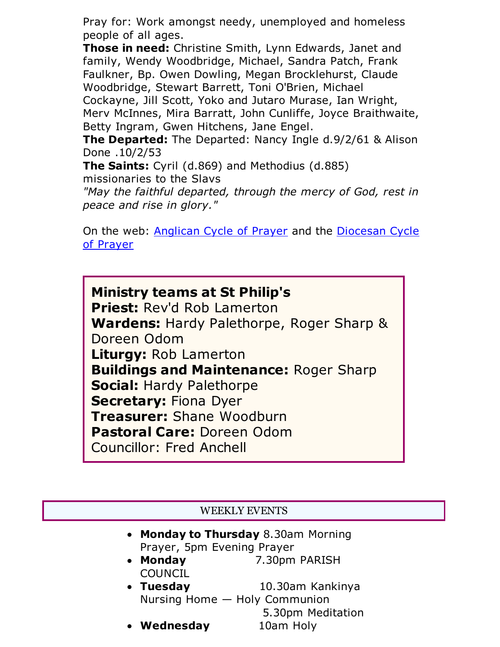Pray for: Work amongst needy, unemployed and homeless people of all ages.

**Those in need:** Christine Smith, Lynn Edwards, Janet and family, Wendy Woodbridge, Michael, Sandra Patch, Frank Faulkner, Bp. Owen Dowling, Megan Brocklehurst, Claude Woodbridge, Stewart Barrett, Toni O'Brien, Michael Cockayne, Jill Scott, Yoko and Jutaro Murase, Ian Wright, Merv McInnes, Mira Barratt, John Cunliffe, Joyce Braithwaite, Betty Ingram, Gwen Hitchens, Jane Engel.

**The Departed:** The Departed: Nancy Ingle d.9/2/61 & Alison Done .10/2/53

**The Saints:** Cyril (d.869) and Methodius (d.885) missionaries to the Slavs

*"May the faithful departed, through the mercy of God, rest in peace and rise in glory."*

On the web: Anglican Cycle of Prayer and the Diocesan Cycle of Prayer

**Ministry teams at St Philip's Priest:** Rev'd Rob Lamerton **Wardens:** Hardy Palethorpe, Roger Sharp & Doreen Odom **Liturgy:** Rob Lamerton **Buildings and Maintenance:** Roger Sharp **Social:** Hardy Palethorpe **Secretary:** Fiona Dyer **Treasurer:** Shane Woodburn **Pastoral Care:** Doreen Odom Councillor: Fred Anchell

### WEEKLY EVENTS

- **Monday to Thursday** 8.30am Morning Prayer, 5pm Evening Prayer
- **Monday** 7.30pm PARISH COUNCIL
- **Tuesday** 10.30am Kankinya Nursing Home — Holy Communion 5.30pm Meditation
- Wednesday 10am Holy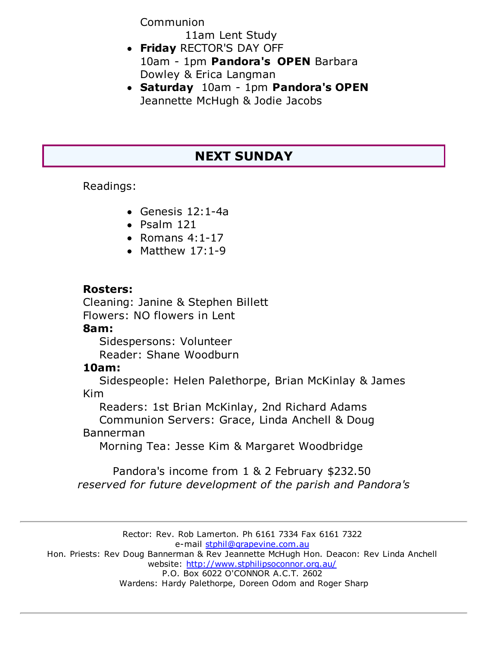Communion

11am Lent Study

- **Friday** RECTOR'S DAY OFF 10am - 1pm **Pandora's OPEN** Barbara Dowley & Erica Langman
- **Saturday** 10am 1pm **Pandora's OPEN** Jeannette McHugh & Jodie Jacobs

# **NEXT SUNDAY**

Readings:

- Genesis 12:1-4a
- $\bullet$  Psalm 121
- $\bullet$  Romans 4:1-17
- Matthew  $17:1-9$

### **Rosters:**

Cleaning: Janine & Stephen Billett Flowers: NO flowers in Lent

### **8am:**

 Sidespersons: Volunteer Reader: Shane Woodburn

## **10am:**

 Sidespeople: Helen Palethorpe, Brian McKinlay & James Kim

Readers: 1st Brian McKinlay, 2nd Richard Adams

 Communion Servers: Grace, Linda Anchell & Doug Bannerman

Morning Tea: Jesse Kim & Margaret Woodbridge

Pandora's income from 1 & 2 February \$232.50 *reserved for future development of the parish and Pandora's*

Rector: Rev. Rob Lamerton. Ph 6161 7334 Fax 6161 7322 e-mail stphil@grapevine.com.au Hon. Priests: Rev Doug Bannerman & Rev Jeannette McHugh Hon. Deacon: Rev Linda Anchell website: http://www.stphilipsoconnor.org.au/ P.O. Box 6022 O'CONNOR A.C.T. 2602 Wardens: Hardy Palethorpe, Doreen Odom and Roger Sharp